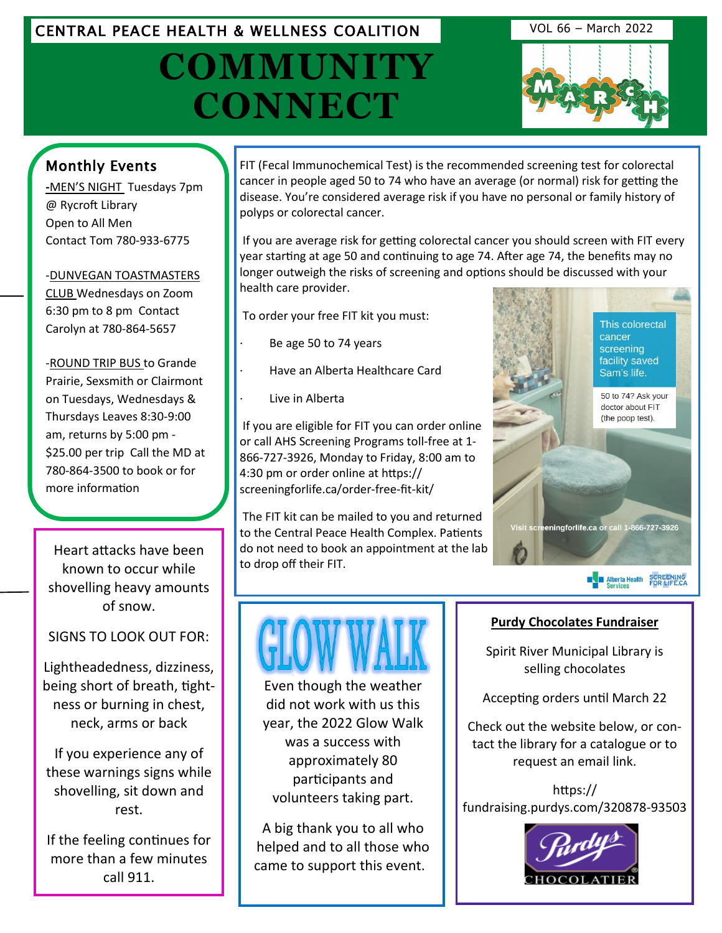## CENTRAL PEACE HEALTH & WELLNESS COALITION VOL 66 – March 2022

# **COMMUNITY CONNECT**



## Monthly Events

**-**MEN'S NIGHT Tuesdays 7pm @ Rycroft Library Open to All Men Contact Tom 780-933-6775

-DUNVEGAN TOASTMASTERS CLUB Wednesdays on Zoom 6:30 pm to 8 pm Contact Carolyn at 780-864-5657

-ROUND TRIP BUS to Grande Prairie, Sexsmith or Clairmont on Tuesdays, Wednesdays & Thursdays Leaves 8:30-9:00 am, returns by 5:00 pm - [\\$25.00 per trip Call the MD at](http://www.eaglesham.biz/)  780-864-3500 to book or for more information

Heart attacks have been known to occur while shovelling heavy amounts of snow.

SIGNS TO LOOK OUT FOR:

Lightheadedness, dizziness, being short of breath, tightness or burning in chest, neck, arms or back

If you experience any of these warnings signs while shovelling, sit down and rest.

If the feeling continues for more than a few minutes call 911.

FIT (Fecal Immunochemical Test) is the recommended screening test for colorectal cancer in people aged 50 to 74 who have an average (or normal) risk for getting the disease. You're considered average risk if you have no personal or family history of polyps or colorectal cancer.

If you are average risk for getting colorectal cancer you should screen with FIT every year starting at age 50 and continuing to age 74. After age 74, the benefits may no longer outweigh the risks of screening and options should be discussed with your health care provider.

To order your free FIT kit you must:

- Be age 50 to 74 years
- · Have an Alberta Healthcare Card
- Live in Alberta

If you are eligible for FIT you can order online or call AHS Screening Programs toll-free at 1- 866-727-3926, Monday to Friday, 8:00 am to 4:30 pm or order online at https:// screeningforlife.ca/order-free-fit-kit/

The FIT kit can be mailed to you and returned to the Central Peace Health Complex. Patients do not need to book an appointment at the lab to drop off their FIT.



**EN Alberta Health SCREENING**<br>Services FOR LIFE.CA



Even though the weather did not work with us this year, the 2022 Glow Walk was a success with approximately 80 participants and volunteers taking part.

A big thank you to all who helped and to all those who came to support this event.

#### **Purdy Chocolates Fundraiser**

Spirit River Municipal Library is selling chocolates

Accepting orders until March 22

Check out the website below, or contact the library for a catalogue or to request an email link.

https:// fundraising.purdys.com/320878-93503